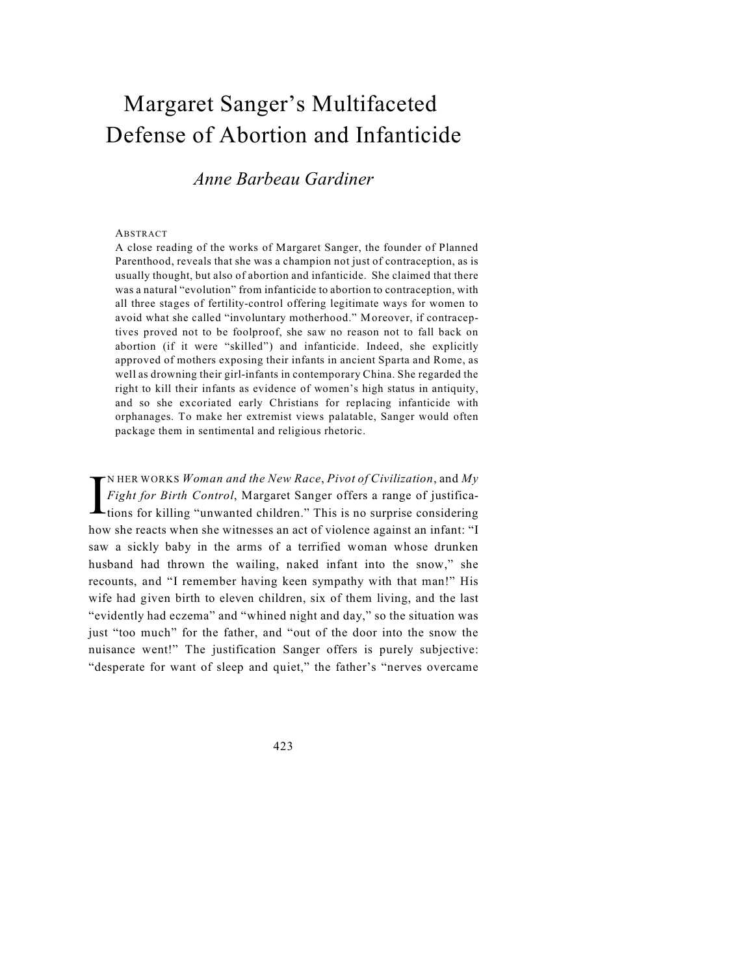## Margaret Sanger's Multifaceted Defense of Abortion and Infanticide

## *Anne Barbeau Gardiner*

## ABSTRACT

A close reading of the works of Margaret Sanger, the founder of Planned Parenthood, reveals that she was a champion not just of contraception, as is usually thought, but also of abortion and infanticide. She claimed that there was a natural "evolution" from infanticide to abortion to contraception, with all three stages of fertility-control offering legitimate ways for women to avoid what she called "involuntary motherhood." Moreover, if contraceptives proved not to be foolproof, she saw no reason not to fall back on abortion (if it were "skilled") and infanticide. Indeed, she explicitly approved of mothers exposing their infants in ancient Sparta and Rome, as well as drowning their girl-infants in contemporary China. She regarded the right to kill their infants as evidence of women's high status in antiquity, and so she excoriated early Christians for replacing infanticide with orphanages. To make her extremist views palatable, Sanger would often package them in sentimental and religious rhetoric.

I N HER WORKS *Woman and the New Race*, *Pivot of Civilization*, and *My Fight for Birth Control*, Margaret Sanger offers a range of justifications for killing "unwanted children." This is no surprise considering how she reacts when she witnesses an act of violence against an infant: "I saw a sickly baby in the arms of a terrified woman whose drunken husband had thrown the wailing, naked infant into the snow," she recounts, and "I remember having keen sympathy with that man!" His wife had given birth to eleven children, six of them living, and the last "evidently had eczema" and "whined night and day," so the situation was just "too much" for the father, and "out of the door into the snow the nuisance went!" The justification Sanger offers is purely subjective: "desperate for want of sleep and quiet," the father's "nerves overcame

423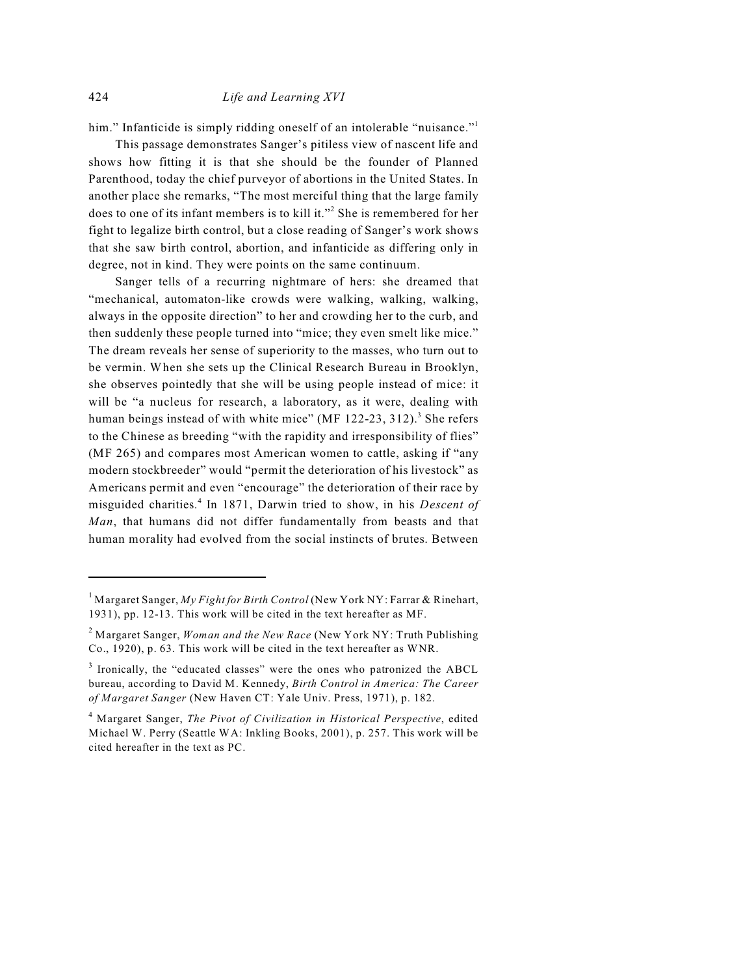him." Infanticide is simply ridding oneself of an intolerable "nuisance."<sup>1</sup>

This passage demonstrates Sanger's pitiless view of nascent life and shows how fitting it is that she should be the founder of Planned Parenthood, today the chief purveyor of abortions in the United States. In another place she remarks, "The most merciful thing that the large family does to one of its infant members is to kill it."<sup>2</sup> She is remembered for her fight to legalize birth control, but a close reading of Sanger's work shows that she saw birth control, abortion, and infanticide as differing only in degree, not in kind. They were points on the same continuum.

Sanger tells of a recurring nightmare of hers: she dreamed that "mechanical, automaton-like crowds were walking, walking, walking, always in the opposite direction" to her and crowding her to the curb, and then suddenly these people turned into "mice; they even smelt like mice." The dream reveals her sense of superiority to the masses, who turn out to be vermin. When she sets up the Clinical Research Bureau in Brooklyn, she observes pointedly that she will be using people instead of mice: it will be "a nucleus for research, a laboratory, as it were, dealing with human beings instead of with white mice" (MF  $122-23$ ,  $312$ ).<sup>3</sup> She refers to the Chinese as breeding "with the rapidity and irresponsibility of flies" (MF 265) and compares most American women to cattle, asking if "any modern stockbreeder" would "permit the deterioration of his livestock" as Americans permit and even "encourage" the deterioration of their race by misguided charities.<sup>4</sup> In 1871, Darwin tried to show, in his *Descent of Man*, that humans did not differ fundamentally from beasts and that human morality had evolved from the social instincts of brutes. Between

<sup>&</sup>lt;sup>1</sup> Margaret Sanger, *My Fight for Birth Control* (New York NY: Farrar & Rinehart, 1931), pp. 12-13. This work will be cited in the text hereafter as MF.

Margaret Sanger, *Woman and the New Race* (New York NY: Truth Publishing 2 Co., 1920), p. 63. This work will be cited in the text hereafter as WNR.

 $3$  Ironically, the "educated classes" were the ones who patronized the ABCL bureau, according to David M. Kennedy, *Birth Control in America: The Career of Margaret Sanger* (New Haven CT: Yale Univ. Press, 1971), p. 182.

Margaret Sanger, *The Pivot of Civilization in Historical Perspective*, edited <sup>4</sup> Michael W. Perry (Seattle WA: Inkling Books, 2001), p. 257. This work will be cited hereafter in the text as PC.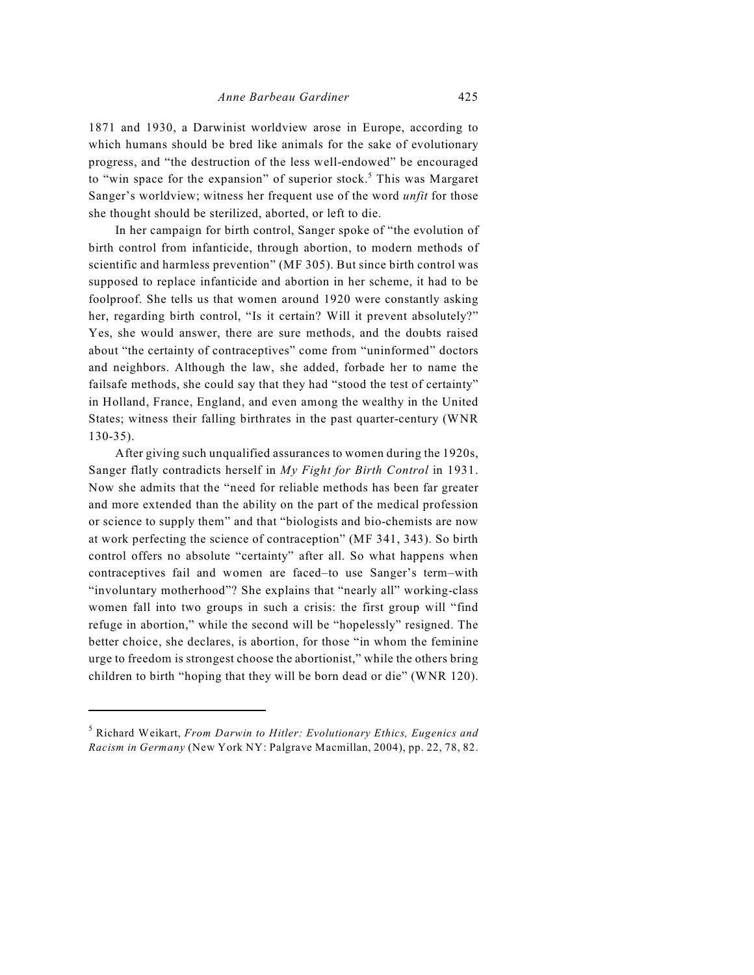1871 and 1930, a Darwinist worldview arose in Europe, according to which humans should be bred like animals for the sake of evolutionary progress, and "the destruction of the less well-endowed" be encouraged to "win space for the expansion" of superior stock.<sup>5</sup> This was Margaret Sanger's worldview; witness her frequent use of the word *unfit* for those she thought should be sterilized, aborted, or left to die.

In her campaign for birth control, Sanger spoke of "the evolution of birth control from infanticide, through abortion, to modern methods of scientific and harmless prevention" (MF 305). But since birth control was supposed to replace infanticide and abortion in her scheme, it had to be foolproof. She tells us that women around 1920 were constantly asking her, regarding birth control, "Is it certain? Will it prevent absolutely?" Yes, she would answer, there are sure methods, and the doubts raised about "the certainty of contraceptives" come from "uninformed" doctors and neighbors. Although the law, she added, forbade her to name the failsafe methods, she could say that they had "stood the test of certainty" in Holland, France, England, and even among the wealthy in the United States; witness their falling birthrates in the past quarter-century (WNR 130-35).

After giving such unqualified assurances to women during the 1920s, Sanger flatly contradicts herself in *My Fight for Birth Control* in 1931. Now she admits that the "need for reliable methods has been far greater and more extended than the ability on the part of the medical profession or science to supply them" and that "biologists and bio-chemists are now at work perfecting the science of contraception" (MF 341, 343). So birth control offers no absolute "certainty" after all. So what happens when contraceptives fail and women are faced–to use Sanger's term–with "involuntary motherhood"? She explains that "nearly all" working-class women fall into two groups in such a crisis: the first group will "find refuge in abortion," while the second will be "hopelessly" resigned. The better choice, she declares, is abortion, for those "in whom the feminine urge to freedom is strongest choose the abortionist," while the others bring children to birth "hoping that they will be born dead or die" (WNR 120).

Richard Weikart, *From Darwin to Hitler: Evolutionary Ethics, Eugenics and* <sup>5</sup> *Racism in Germany* (New York NY: Palgrave Macmillan, 2004), pp. 22, 78, 82.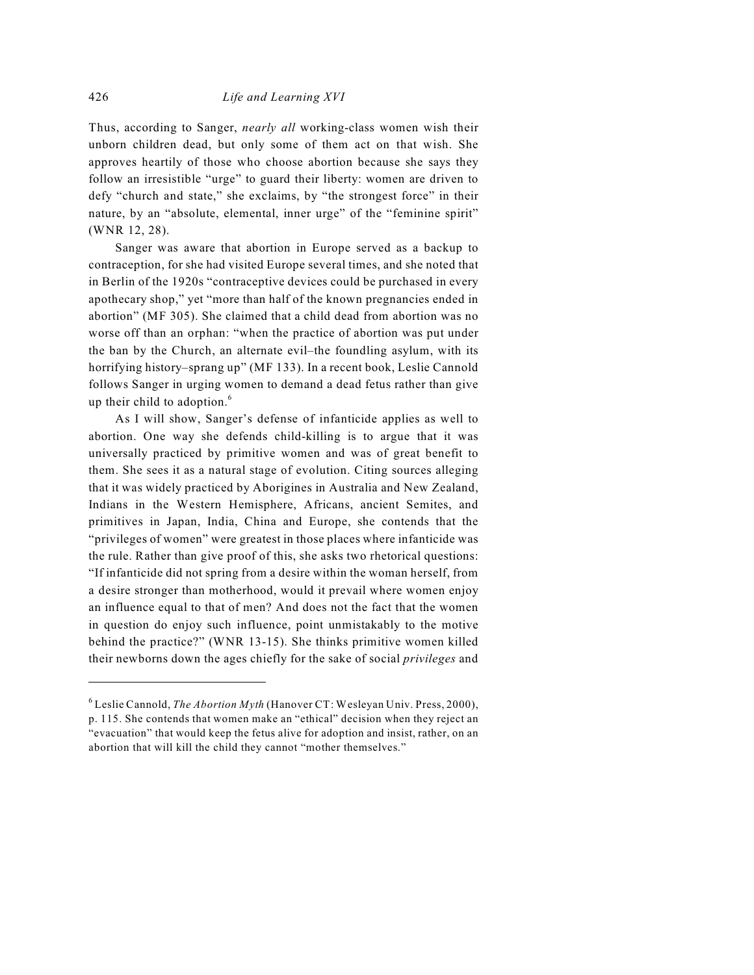Thus, according to Sanger, *nearly all* working-class women wish their unborn children dead, but only some of them act on that wish. She approves heartily of those who choose abortion because she says they follow an irresistible "urge" to guard their liberty: women are driven to defy "church and state," she exclaims, by "the strongest force" in their nature, by an "absolute, elemental, inner urge" of the "feminine spirit" (WNR 12, 28).

Sanger was aware that abortion in Europe served as a backup to contraception, for she had visited Europe several times, and she noted that in Berlin of the 1920s "contraceptive devices could be purchased in every apothecary shop," yet "more than half of the known pregnancies ended in abortion" (MF 305). She claimed that a child dead from abortion was no worse off than an orphan: "when the practice of abortion was put under the ban by the Church, an alternate evil–the foundling asylum, with its horrifying history–sprang up" (MF 133). In a recent book, Leslie Cannold follows Sanger in urging women to demand a dead fetus rather than give up their child to adoption.<sup>6</sup>

As I will show, Sanger's defense of infanticide applies as well to abortion. One way she defends child-killing is to argue that it was universally practiced by primitive women and was of great benefit to them. She sees it as a natural stage of evolution. Citing sources alleging that it was widely practiced by Aborigines in Australia and New Zealand, Indians in the Western Hemisphere, Africans, ancient Semites, and primitives in Japan, India, China and Europe, she contends that the "privileges of women" were greatest in those places where infanticide was the rule. Rather than give proof of this, she asks two rhetorical questions: "If infanticide did not spring from a desire within the woman herself, from a desire stronger than motherhood, would it prevail where women enjoy an influence equal to that of men? And does not the fact that the women in question do enjoy such influence, point unmistakably to the motive behind the practice?" (WNR 13-15). She thinks primitive women killed their newborns down the ages chiefly for the sake of social *privileges* and

Leslie Cannold, *The Abortion Myth* (Hanover CT: Wesleyan Univ. Press, 2000), <sup>6</sup> p. 115. She contends that women make an "ethical" decision when they reject an "evacuation" that would keep the fetus alive for adoption and insist, rather, on an abortion that will kill the child they cannot "mother themselves."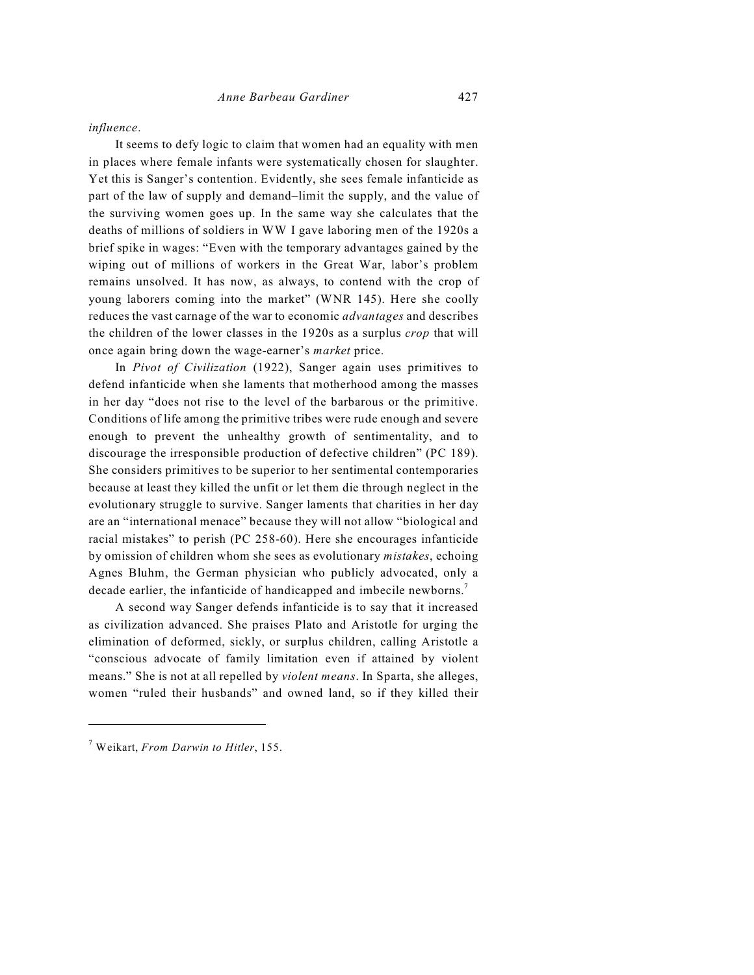## *influence*.

It seems to defy logic to claim that women had an equality with men in places where female infants were systematically chosen for slaughter. Yet this is Sanger's contention. Evidently, she sees female infanticide as part of the law of supply and demand–limit the supply, and the value of the surviving women goes up. In the same way she calculates that the deaths of millions of soldiers in WW I gave laboring men of the 1920s a brief spike in wages: "Even with the temporary advantages gained by the wiping out of millions of workers in the Great War, labor's problem remains unsolved. It has now, as always, to contend with the crop of young laborers coming into the market" (WNR 145). Here she coolly reduces the vast carnage of the war to economic *advantages* and describes the children of the lower classes in the 1920s as a surplus *crop* that will once again bring down the wage-earner's *market* price.

In *Pivot of Civilization* (1922), Sanger again uses primitives to defend infanticide when she laments that motherhood among the masses in her day "does not rise to the level of the barbarous or the primitive. Conditions of life among the primitive tribes were rude enough and severe enough to prevent the unhealthy growth of sentimentality, and to discourage the irresponsible production of defective children" (PC 189). She considers primitives to be superior to her sentimental contemporaries because at least they killed the unfit or let them die through neglect in the evolutionary struggle to survive. Sanger laments that charities in her day are an "international menace" because they will not allow "biological and racial mistakes" to perish (PC 258-60). Here she encourages infanticide by omission of children whom she sees as evolutionary *mistakes*, echoing Agnes Bluhm, the German physician who publicly advocated, only a decade earlier, the infanticide of handicapped and imbecile newborns.<sup>7</sup>

A second way Sanger defends infanticide is to say that it increased as civilization advanced. She praises Plato and Aristotle for urging the elimination of deformed, sickly, or surplus children, calling Aristotle a "conscious advocate of family limitation even if attained by violent means." She is not at all repelled by *violent means*. In Sparta, she alleges, women "ruled their husbands" and owned land, so if they killed their

Weikart, *From Darwin to Hitler*, 155. <sup>7</sup>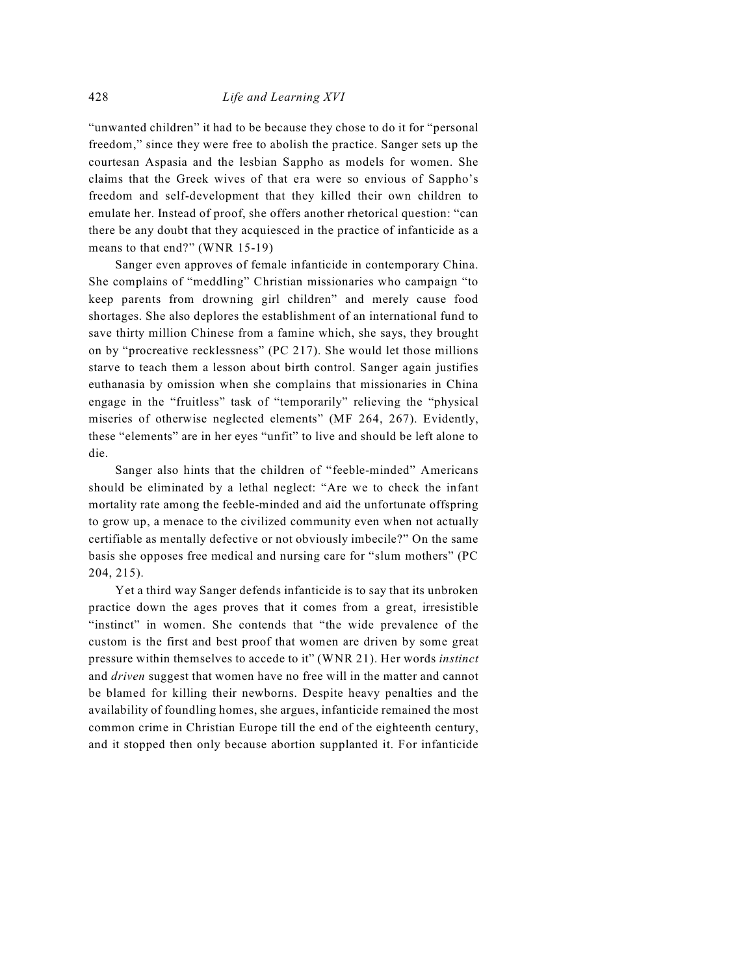"unwanted children" it had to be because they chose to do it for "personal freedom," since they were free to abolish the practice. Sanger sets up the courtesan Aspasia and the lesbian Sappho as models for women. She claims that the Greek wives of that era were so envious of Sappho's freedom and self-development that they killed their own children to emulate her. Instead of proof, she offers another rhetorical question: "can there be any doubt that they acquiesced in the practice of infanticide as a means to that end?" (WNR 15-19)

Sanger even approves of female infanticide in contemporary China. She complains of "meddling" Christian missionaries who campaign "to keep parents from drowning girl children" and merely cause food shortages. She also deplores the establishment of an international fund to save thirty million Chinese from a famine which, she says, they brought on by "procreative recklessness" (PC 217). She would let those millions starve to teach them a lesson about birth control. Sanger again justifies euthanasia by omission when she complains that missionaries in China engage in the "fruitless" task of "temporarily" relieving the "physical miseries of otherwise neglected elements" (MF 264, 267). Evidently, these "elements" are in her eyes "unfit" to live and should be left alone to die.

Sanger also hints that the children of "feeble-minded" Americans should be eliminated by a lethal neglect: "Are we to check the infant mortality rate among the feeble-minded and aid the unfortunate offspring to grow up, a menace to the civilized community even when not actually certifiable as mentally defective or not obviously imbecile?" On the same basis she opposes free medical and nursing care for "slum mothers" (PC 204, 215).

Yet a third way Sanger defends infanticide is to say that its unbroken practice down the ages proves that it comes from a great, irresistible "instinct" in women. She contends that "the wide prevalence of the custom is the first and best proof that women are driven by some great pressure within themselves to accede to it" (WNR 21). Her words *instinct* and *driven* suggest that women have no free will in the matter and cannot be blamed for killing their newborns. Despite heavy penalties and the availability of foundling homes, she argues, infanticide remained the most common crime in Christian Europe till the end of the eighteenth century, and it stopped then only because abortion supplanted it. For infanticide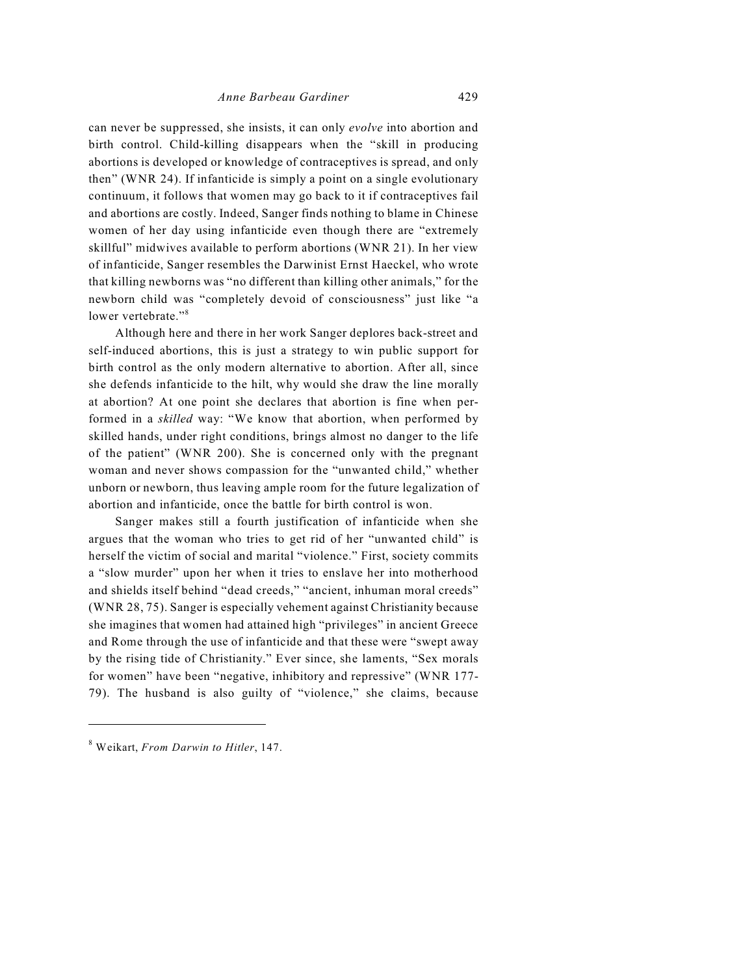can never be suppressed, she insists, it can only *evolve* into abortion and birth control. Child-killing disappears when the "skill in producing abortions is developed or knowledge of contraceptives is spread, and only then" (WNR 24). If infanticide is simply a point on a single evolutionary continuum, it follows that women may go back to it if contraceptives fail and abortions are costly. Indeed, Sanger finds nothing to blame in Chinese women of her day using infanticide even though there are "extremely skillful" midwives available to perform abortions (WNR 21). In her view of infanticide, Sanger resembles the Darwinist Ernst Haeckel, who wrote that killing newborns was "no different than killing other animals," for the newborn child was "completely devoid of consciousness" just like "a lower vertebrate."<sup>8</sup>

Although here and there in her work Sanger deplores back-street and self-induced abortions, this is just a strategy to win public support for birth control as the only modern alternative to abortion. After all, since she defends infanticide to the hilt, why would she draw the line morally at abortion? At one point she declares that abortion is fine when performed in a *skilled* way: "We know that abortion, when performed by skilled hands, under right conditions, brings almost no danger to the life of the patient" (WNR 200). She is concerned only with the pregnant woman and never shows compassion for the "unwanted child," whether unborn or newborn, thus leaving ample room for the future legalization of abortion and infanticide, once the battle for birth control is won.

Sanger makes still a fourth justification of infanticide when she argues that the woman who tries to get rid of her "unwanted child" is herself the victim of social and marital "violence." First, society commits a "slow murder" upon her when it tries to enslave her into motherhood and shields itself behind "dead creeds," "ancient, inhuman moral creeds" (WNR 28, 75). Sanger is especially vehement against Christianity because she imagines that women had attained high "privileges" in ancient Greece and Rome through the use of infanticide and that these were "swept away by the rising tide of Christianity." Ever since, she laments, "Sex morals for women" have been "negative, inhibitory and repressive" (WNR 177- 79). The husband is also guilty of "violence," she claims, because

Weikart, *From Darwin to Hitler*, 147. <sup>8</sup>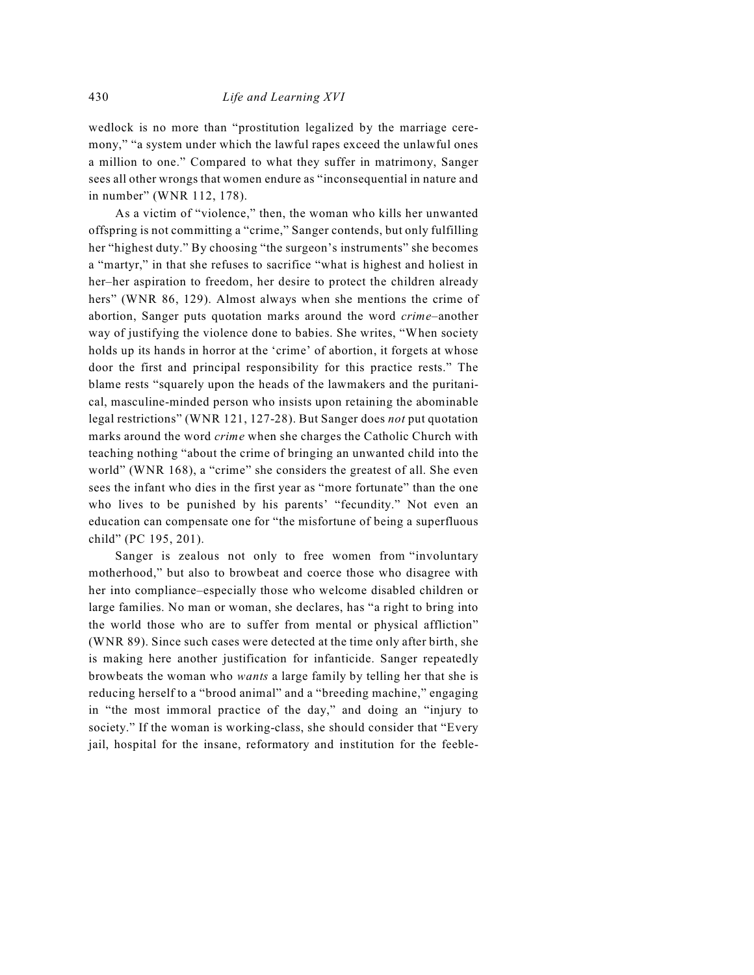wedlock is no more than "prostitution legalized by the marriage ceremony," "a system under which the lawful rapes exceed the unlawful ones a million to one." Compared to what they suffer in matrimony, Sanger sees all other wrongs that women endure as "inconsequential in nature and in number" (WNR 112, 178).

As a victim of "violence," then, the woman who kills her unwanted offspring is not committing a "crime," Sanger contends, but only fulfilling her "highest duty." By choosing "the surgeon's instruments" she becomes a "martyr," in that she refuses to sacrifice "what is highest and holiest in her–her aspiration to freedom, her desire to protect the children already hers" (WNR 86, 129). Almost always when she mentions the crime of abortion, Sanger puts quotation marks around the word *crime*–another way of justifying the violence done to babies. She writes, "When society holds up its hands in horror at the 'crime' of abortion, it forgets at whose door the first and principal responsibility for this practice rests." The blame rests "squarely upon the heads of the lawmakers and the puritanical, masculine-minded person who insists upon retaining the abominable legal restrictions" (WNR 121, 127-28). But Sanger does *not* put quotation marks around the word *crime* when she charges the Catholic Church with teaching nothing "about the crime of bringing an unwanted child into the world" (WNR 168), a "crime" she considers the greatest of all. She even sees the infant who dies in the first year as "more fortunate" than the one who lives to be punished by his parents' "fecundity." Not even an education can compensate one for "the misfortune of being a superfluous child" (PC 195, 201).

Sanger is zealous not only to free women from "involuntary motherhood," but also to browbeat and coerce those who disagree with her into compliance–especially those who welcome disabled children or large families. No man or woman, she declares, has "a right to bring into the world those who are to suffer from mental or physical affliction" (WNR 89). Since such cases were detected at the time only after birth, she is making here another justification for infanticide. Sanger repeatedly browbeats the woman who *wants* a large family by telling her that she is reducing herself to a "brood animal" and a "breeding machine," engaging in "the most immoral practice of the day," and doing an "injury to society." If the woman is working-class, she should consider that "Every jail, hospital for the insane, reformatory and institution for the feeble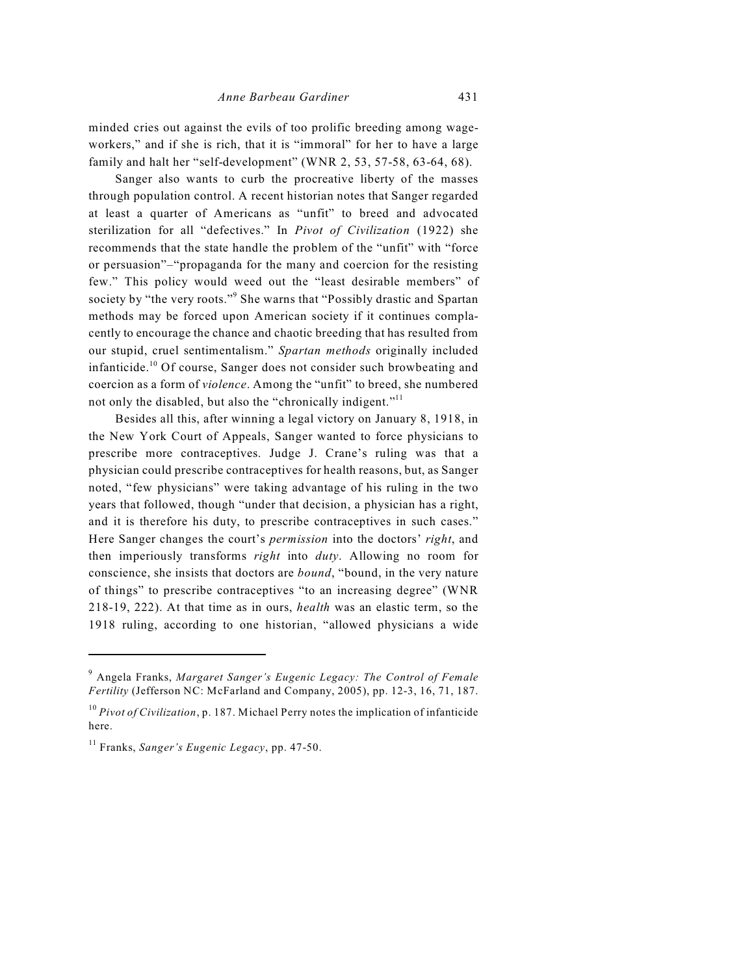minded cries out against the evils of too prolific breeding among wageworkers," and if she is rich, that it is "immoral" for her to have a large family and halt her "self-development" (WNR 2, 53, 57-58, 63-64, 68).

Sanger also wants to curb the procreative liberty of the masses through population control. A recent historian notes that Sanger regarded at least a quarter of Americans as "unfit" to breed and advocated sterilization for all "defectives." In *Pivot of Civilization* (1922) she recommends that the state handle the problem of the "unfit" with "force or persuasion"–"propaganda for the many and coercion for the resisting few." This policy would weed out the "least desirable members" of society by "the very roots."<sup>9</sup> She warns that "Possibly drastic and Spartan methods may be forced upon American society if it continues complacently to encourage the chance and chaotic breeding that has resulted from our stupid, cruel sentimentalism." *Spartan methods* originally included infanticide.<sup>10</sup> Of course, Sanger does not consider such browbeating and coercion as a form of *violence*. Among the "unfit" to breed, she numbered not only the disabled, but also the "chronically indigent."<sup>11</sup>

Besides all this, after winning a legal victory on January 8, 1918, in the New York Court of Appeals, Sanger wanted to force physicians to prescribe more contraceptives. Judge J. Crane's ruling was that a physician could prescribe contraceptives for health reasons, but, as Sanger noted, "few physicians" were taking advantage of his ruling in the two years that followed, though "under that decision, a physician has a right, and it is therefore his duty, to prescribe contraceptives in such cases." Here Sanger changes the court's *permission* into the doctors' *right*, and then imperiously transforms *right* into *duty*. Allowing no room for conscience, she insists that doctors are *bound*, "bound, in the very nature of things" to prescribe contraceptives "to an increasing degree" (WNR 218-19, 222). At that time as in ours, *health* was an elastic term, so the 1918 ruling, according to one historian, "allowed physicians a wide

Angela Franks, *Margaret Sanger's Eugenic Legacy: The Control of Female* <sup>9</sup> *Fertility* (Jefferson NC: McFarland and Company, 2005), pp. 12-3, 16, 71, 187.

 $^{10}$  *Pivot of Civilization*, p. 187. Michael Perry notes the implication of infanticide here.

<sup>&</sup>lt;sup>11</sup> Franks, *Sanger's Eugenic Legacy*, pp. 47-50.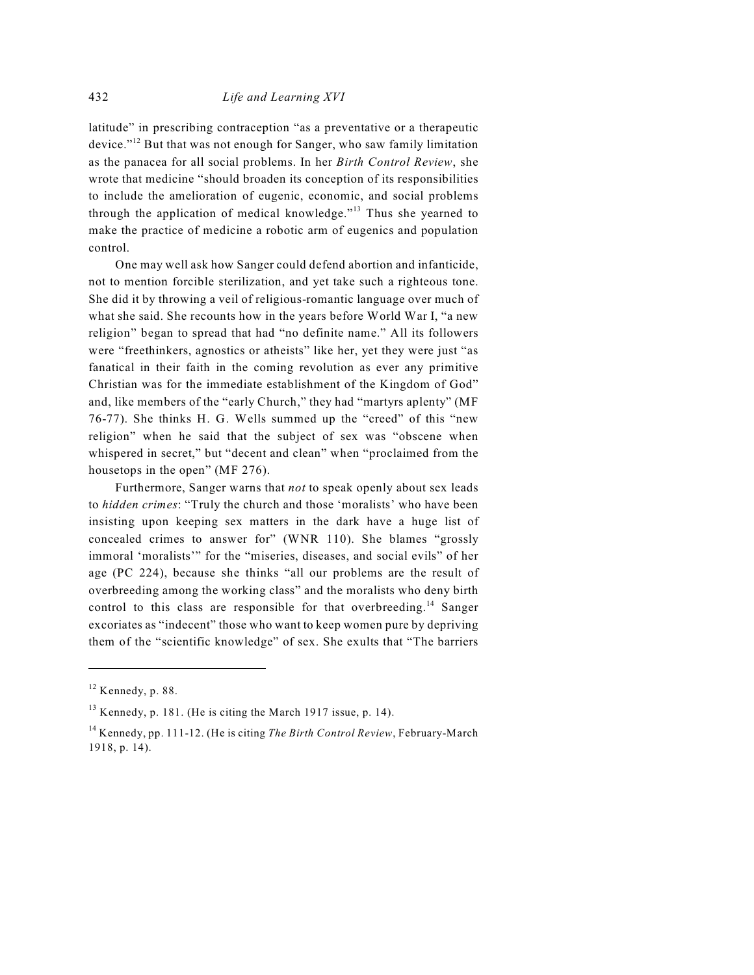latitude" in prescribing contraception "as a preventative or a therapeutic device."<sup> $12$ </sup> But that was not enough for Sanger, who saw family limitation as the panacea for all social problems. In her *Birth Control Review*, she wrote that medicine "should broaden its conception of its responsibilities to include the amelioration of eugenic, economic, and social problems through the application of medical knowledge."<sup> $13$ </sup> Thus she yearned to make the practice of medicine a robotic arm of eugenics and population control.

One may well ask how Sanger could defend abortion and infanticide, not to mention forcible sterilization, and yet take such a righteous tone. She did it by throwing a veil of religious-romantic language over much of what she said. She recounts how in the years before World War I, "a new religion" began to spread that had "no definite name." All its followers were "freethinkers, agnostics or atheists" like her, yet they were just "as fanatical in their faith in the coming revolution as ever any primitive Christian was for the immediate establishment of the Kingdom of God" and, like members of the "early Church," they had "martyrs aplenty" (MF 76-77). She thinks H. G. Wells summed up the "creed" of this "new religion" when he said that the subject of sex was "obscene when whispered in secret," but "decent and clean" when "proclaimed from the housetops in the open" (MF 276).

Furthermore, Sanger warns that *not* to speak openly about sex leads to *hidden crimes*: "Truly the church and those 'moralists' who have been insisting upon keeping sex matters in the dark have a huge list of concealed crimes to answer for" (WNR 110). She blames "grossly immoral 'moralists'" for the "miseries, diseases, and social evils" of her age (PC 224), because she thinks "all our problems are the result of overbreeding among the working class" and the moralists who deny birth control to this class are responsible for that overbreeding.<sup>14</sup> Sanger excoriates as "indecent" those who want to keep women pure by depriving them of the "scientific knowledge" of sex. She exults that "The barriers

 $12$  Kennedy, p. 88.

 $13$  Kennedy, p. 181. (He is citing the March 1917 issue, p. 14).

<sup>&</sup>lt;sup>14</sup> Kennedy, pp. 111-12. (He is citing *The Birth Control Review*, February-March 1918, p. 14).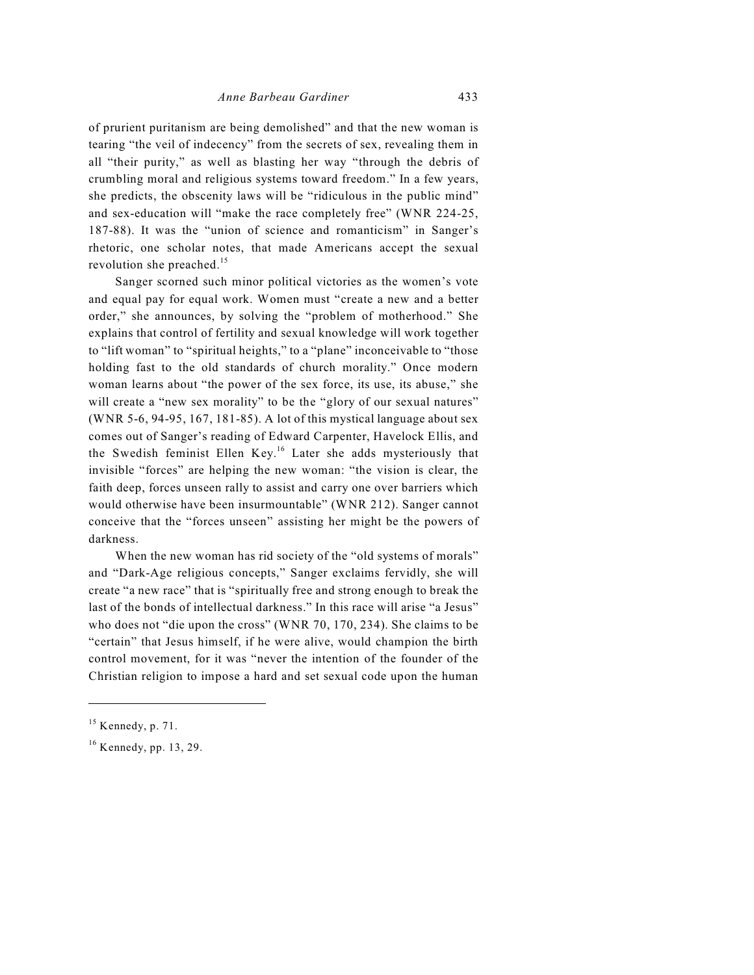of prurient puritanism are being demolished" and that the new woman is tearing "the veil of indecency" from the secrets of sex, revealing them in all "their purity," as well as blasting her way "through the debris of crumbling moral and religious systems toward freedom." In a few years, she predicts, the obscenity laws will be "ridiculous in the public mind" and sex-education will "make the race completely free" (WNR 224-25, 187-88). It was the "union of science and romanticism" in Sanger's rhetoric, one scholar notes, that made Americans accept the sexual revolution she preached.<sup>15</sup>

Sanger scorned such minor political victories as the women's vote and equal pay for equal work. Women must "create a new and a better order," she announces, by solving the "problem of motherhood." She explains that control of fertility and sexual knowledge will work together to "lift woman" to "spiritual heights," to a "plane" inconceivable to "those holding fast to the old standards of church morality." Once modern woman learns about "the power of the sex force, its use, its abuse," she will create a "new sex morality" to be the "glory of our sexual natures" (WNR 5-6, 94-95, 167, 181-85). A lot of this mystical language about sex comes out of Sanger's reading of Edward Carpenter, Havelock Ellis, and the Swedish feminist Ellen Key.<sup>16</sup> Later she adds mysteriously that invisible "forces" are helping the new woman: "the vision is clear, the faith deep, forces unseen rally to assist and carry one over barriers which would otherwise have been insurmountable" (WNR 212). Sanger cannot conceive that the "forces unseen" assisting her might be the powers of darkness.

When the new woman has rid society of the "old systems of morals" and "Dark-Age religious concepts," Sanger exclaims fervidly, she will create "a new race" that is "spiritually free and strong enough to break the last of the bonds of intellectual darkness." In this race will arise "a Jesus" who does not "die upon the cross" (WNR 70, 170, 234). She claims to be "certain" that Jesus himself, if he were alive, would champion the birth control movement, for it was "never the intention of the founder of the Christian religion to impose a hard and set sexual code upon the human

 $15$  Kennedy, p. 71.

 $16$  Kennedy, pp. 13, 29.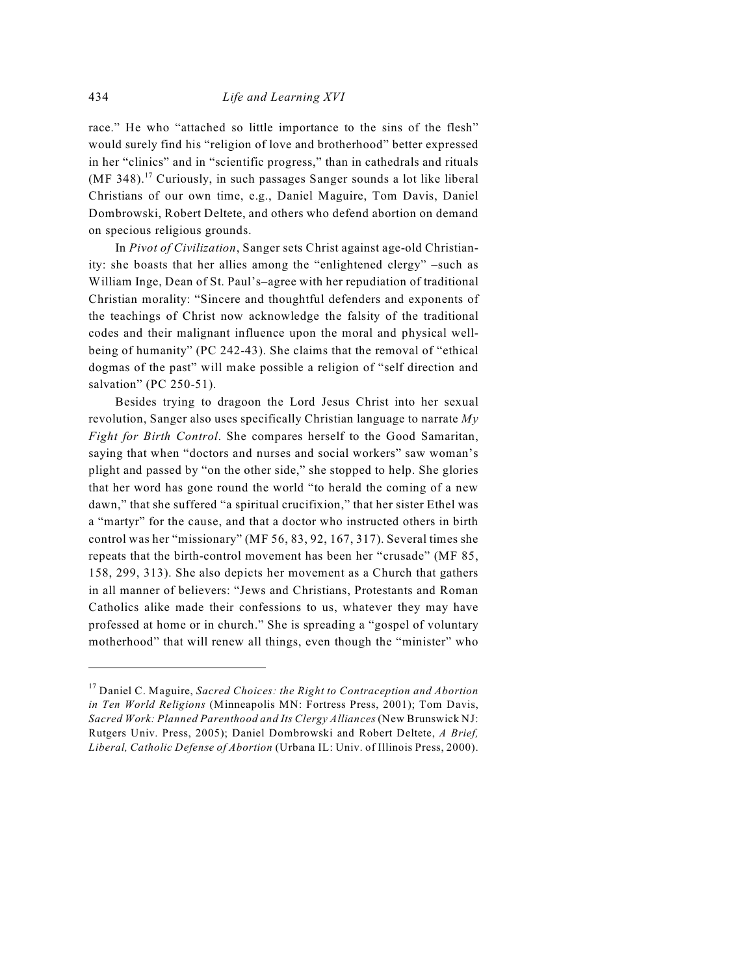race." He who "attached so little importance to the sins of the flesh" would surely find his "religion of love and brotherhood" better expressed in her "clinics" and in "scientific progress," than in cathedrals and rituals (MF 348).<sup>17</sup> Curiously, in such passages Sanger sounds a lot like liberal Christians of our own time, e.g., Daniel Maguire, Tom Davis, Daniel Dombrowski, Robert Deltete, and others who defend abortion on demand on specious religious grounds.

In *Pivot of Civilization*, Sanger sets Christ against age-old Christianity: she boasts that her allies among the "enlightened clergy" –such as William Inge, Dean of St. Paul's–agree with her repudiation of traditional Christian morality: "Sincere and thoughtful defenders and exponents of the teachings of Christ now acknowledge the falsity of the traditional codes and their malignant influence upon the moral and physical wellbeing of humanity" (PC 242-43). She claims that the removal of "ethical dogmas of the past" will make possible a religion of "self direction and salvation" (PC 250-51).

Besides trying to dragoon the Lord Jesus Christ into her sexual revolution, Sanger also uses specifically Christian language to narrate *My Fight for Birth Control*. She compares herself to the Good Samaritan, saying that when "doctors and nurses and social workers" saw woman's plight and passed by "on the other side," she stopped to help. She glories that her word has gone round the world "to herald the coming of a new dawn," that she suffered "a spiritual crucifixion," that her sister Ethel was a "martyr" for the cause, and that a doctor who instructed others in birth control was her "missionary" (MF 56, 83, 92, 167, 317). Several times she repeats that the birth-control movement has been her "crusade" (MF 85, 158, 299, 313). She also depicts her movement as a Church that gathers in all manner of believers: "Jews and Christians, Protestants and Roman Catholics alike made their confessions to us, whatever they may have professed at home or in church." She is spreading a "gospel of voluntary motherhood" that will renew all things, even though the "minister" who

<sup>&</sup>lt;sup>17</sup> Daniel C. Maguire, Sacred Choices: the Right to Contraception and Abortion *in Ten World Religions* (Minneapolis MN: Fortress Press, 2001); Tom Davis, *Sacred Work: Planned Parenthood and Its Clergy Alliances* (New Brunswick NJ: Rutgers Univ. Press, 2005); Daniel Dombrowski and Robert Deltete, *A Brief, Liberal, Catholic Defense of Abortion* (Urbana IL: Univ. of Illinois Press, 2000).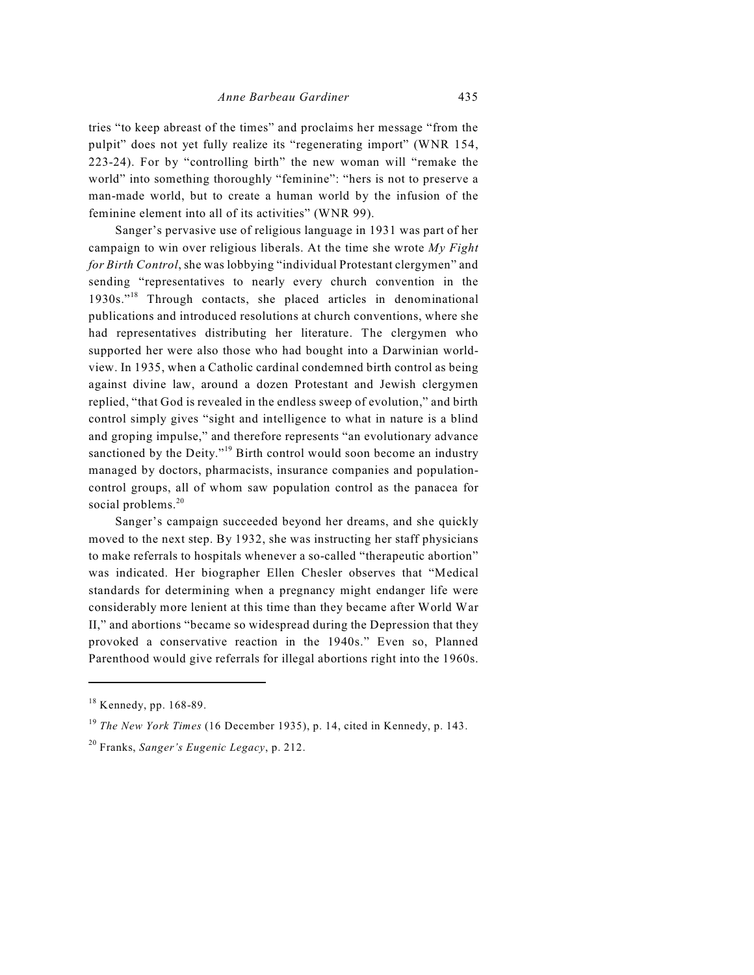tries "to keep abreast of the times" and proclaims her message "from the pulpit" does not yet fully realize its "regenerating import" (WNR 154, 223-24). For by "controlling birth" the new woman will "remake the world" into something thoroughly "feminine": "hers is not to preserve a man-made world, but to create a human world by the infusion of the feminine element into all of its activities" (WNR 99).

Sanger's pervasive use of religious language in 1931 was part of her campaign to win over religious liberals. At the time she wrote *My Fight for Birth Control*, she was lobbying "individual Protestant clergymen" and sending "representatives to nearly every church convention in the  $1930s$ ."<sup>18</sup> Through contacts, she placed articles in denominational publications and introduced resolutions at church conventions, where she had representatives distributing her literature. The clergymen who supported her were also those who had bought into a Darwinian worldview. In 1935, when a Catholic cardinal condemned birth control as being against divine law, around a dozen Protestant and Jewish clergymen replied, "that God is revealed in the endless sweep of evolution," and birth control simply gives "sight and intelligence to what in nature is a blind and groping impulse," and therefore represents "an evolutionary advance sanctioned by the Deity."<sup>19</sup> Birth control would soon become an industry managed by doctors, pharmacists, insurance companies and populationcontrol groups, all of whom saw population control as the panacea for social problems.<sup>20</sup>

Sanger's campaign succeeded beyond her dreams, and she quickly moved to the next step. By 1932, she was instructing her staff physicians to make referrals to hospitals whenever a so-called "therapeutic abortion" was indicated. Her biographer Ellen Chesler observes that "Medical standards for determining when a pregnancy might endanger life were considerably more lenient at this time than they became after World War II," and abortions "became so widespread during the Depression that they provoked a conservative reaction in the 1940s." Even so, Planned Parenthood would give referrals for illegal abortions right into the 1960s.

<sup>20</sup> Franks, *Sanger's Eugenic Legacy*, p. 212.

 $18$  Kennedy, pp. 168-89.

<sup>&</sup>lt;sup>19</sup> The New York Times (16 December 1935), p. 14, cited in Kennedy, p. 143.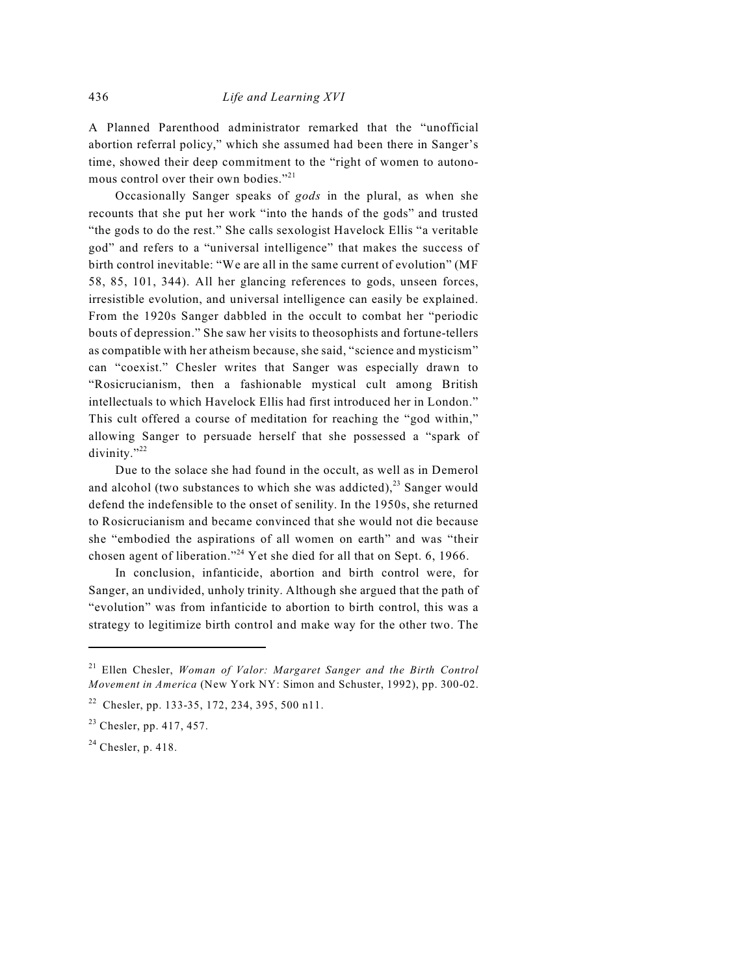A Planned Parenthood administrator remarked that the "unofficial abortion referral policy," which she assumed had been there in Sanger's time, showed their deep commitment to the "right of women to autonomous control over their own bodies."<sup>21</sup>

Occasionally Sanger speaks of *gods* in the plural, as when she recounts that she put her work "into the hands of the gods" and trusted "the gods to do the rest." She calls sexologist Havelock Ellis "a veritable god" and refers to a "universal intelligence" that makes the success of birth control inevitable: "We are all in the same current of evolution" (MF 58, 85, 101, 344). All her glancing references to gods, unseen forces, irresistible evolution, and universal intelligence can easily be explained. From the 1920s Sanger dabbled in the occult to combat her "periodic bouts of depression." She saw her visits to theosophists and fortune-tellers as compatible with her atheism because, she said, "science and mysticism" can "coexist." Chesler writes that Sanger was especially drawn to "Rosicrucianism, then a fashionable mystical cult among British intellectuals to which Havelock Ellis had first introduced her in London." This cult offered a course of meditation for reaching the "god within," allowing Sanger to persuade herself that she possessed a "spark of divinity."22

Due to the solace she had found in the occult, as well as in Demerol and alcohol (two substances to which she was addicted), $^{23}$  Sanger would defend the indefensible to the onset of senility. In the 1950s, she returned to Rosicrucianism and became convinced that she would not die because she "embodied the aspirations of all women on earth" and was "their chosen agent of liberation."<sup>24</sup> Yet she died for all that on Sept. 6, 1966.

In conclusion, infanticide, abortion and birth control were, for Sanger, an undivided, unholy trinity. Although she argued that the path of "evolution" was from infanticide to abortion to birth control, this was a strategy to legitimize birth control and make way for the other two. The

 $24$  Chesler, p. 418.

<sup>&</sup>lt;sup>21</sup> Ellen Chesler, *Woman of Valor: Margaret Sanger and the Birth Control Movement in America* (New York NY: Simon and Schuster, 1992), pp. 300-02.

<sup>&</sup>lt;sup>22</sup> Chesler, pp. 133-35, 172, 234, 395, 500 n11.

 $23$  Chesler, pp. 417, 457.